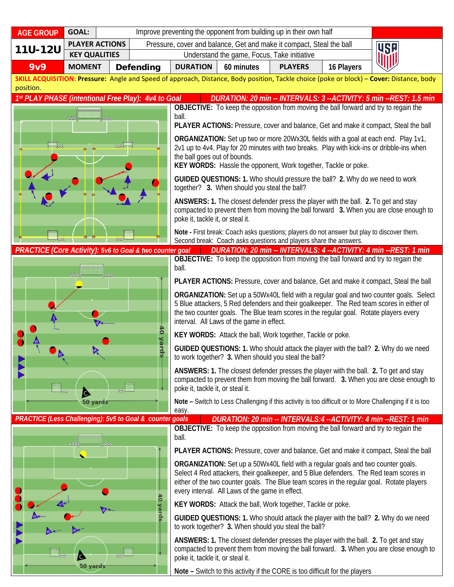